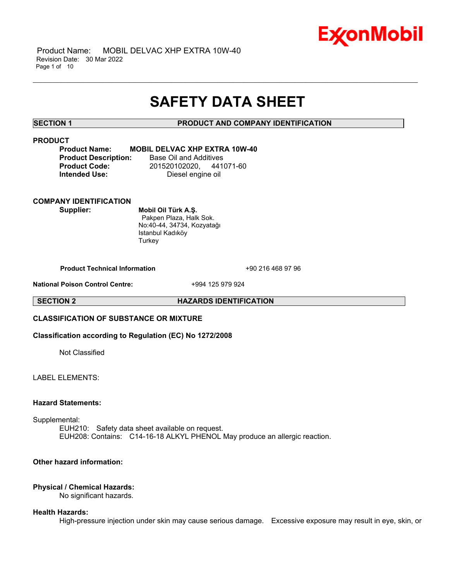

 Product Name: MOBIL DELVAC XHP EXTRA 10W-40 Revision Date: 30 Mar 2022 Page 1 of 10

## **SAFETY DATA SHEET**

\_\_\_\_\_\_\_\_\_\_\_\_\_\_\_\_\_\_\_\_\_\_\_\_\_\_\_\_\_\_\_\_\_\_\_\_\_\_\_\_\_\_\_\_\_\_\_\_\_\_\_\_\_\_\_\_\_\_\_\_\_\_\_\_\_\_\_\_\_\_\_\_\_\_\_\_\_\_\_\_\_\_\_\_\_\_\_\_\_\_\_\_\_\_\_\_\_\_\_\_\_\_\_\_\_\_\_\_\_\_\_\_\_\_\_\_\_\_

#### **SECTION 1 PRODUCT AND COMPANY IDENTIFICATION**

### **PRODUCT**

**Product Name: MOBIL DELVAC XHP EXTRA 10W-40**

**Product Description:** Base Oil and Additives **Product Code:** 201520102020, 441071-60 **Intended Use:** Diesel engine oil

#### **COMPANY IDENTIFICATION**

**Supplier: Mobil Oil Türk A.Ş.** Pakpen Plaza, Halk Sok. No:40-44, 34734, Kozyatağı Istanbul Kadıköy **Turkey** 

**Product Technical Information** +90 216 468 97 96

**National Poison Control Centre:** +994 125 979 924

**SECTION 2 HAZARDS IDENTIFICATION**

### **CLASSIFICATION OF SUBSTANCE OR MIXTURE**

#### **Classification according to Regulation (EC) No 1272/2008**

Not Classified

LABEL ELEMENTS:

### **Hazard Statements:**

Supplemental:

EUH210: Safety data sheet available on request. EUH208: Contains: C14-16-18 ALKYL PHENOL May produce an allergic reaction.

#### **Other hazard information:**

#### **Physical / Chemical Hazards:**

No significant hazards.

#### **Health Hazards:**

High-pressure injection under skin may cause serious damage. Excessive exposure may result in eye, skin, or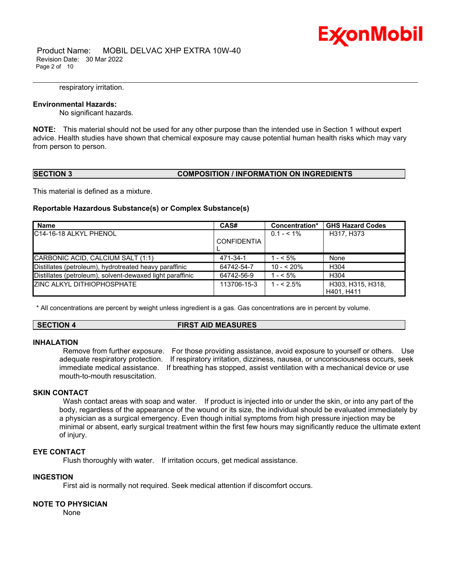

 Product Name: MOBIL DELVAC XHP EXTRA 10W-40 Revision Date: 30 Mar 2022 Page 2 of 10

#### respiratory irritation.

#### **Environmental Hazards:**

No significant hazards.

**NOTE:** This material should not be used for any other purpose than the intended use in Section 1 without expert advice. Health studies have shown that chemical exposure may cause potential human health risks which may vary from person to person.

\_\_\_\_\_\_\_\_\_\_\_\_\_\_\_\_\_\_\_\_\_\_\_\_\_\_\_\_\_\_\_\_\_\_\_\_\_\_\_\_\_\_\_\_\_\_\_\_\_\_\_\_\_\_\_\_\_\_\_\_\_\_\_\_\_\_\_\_\_\_\_\_\_\_\_\_\_\_\_\_\_\_\_\_\_\_\_\_\_\_\_\_\_\_\_\_\_\_\_\_\_\_\_\_\_\_\_\_\_\_\_\_\_\_\_\_\_\_

#### **SECTION 3 COMPOSITION / INFORMATION ON INGREDIENTS**

This material is defined as a mixture.

#### **Reportable Hazardous Substance(s) or Complex Substance(s)**

| Name                                                      | CAS#               | Concentration* | <b>GHS Hazard Codes</b>         |
|-----------------------------------------------------------|--------------------|----------------|---------------------------------|
| IC14-16-18 ALKYL PHENOL                                   | <b>CONFIDENTIA</b> | $0.1 - 5.1\%$  | H317, H373                      |
| CARBONIC ACID, CALCIUM SALT (1:1)                         | 471-34-1           | $1 - 5\%$      | None                            |
| Distillates (petroleum), hydrotreated heavy paraffinic    | 64742-54-7         | $10 - 520%$    | H304                            |
| Distillates (petroleum), solvent-dewaxed light paraffinic | 64742-56-9         | $1 - 5\%$      | H304                            |
| <b>ZINC ALKYL DITHIOPHOSPHATE</b>                         | 113706-15-3        | $1 - 5\%$      | H303, H315, H318.<br>H401, H411 |

\* All concentrations are percent by weight unless ingredient is a gas. Gas concentrations are in percent by volume.

#### **SECTION 4 FIRST AID MEASURES**

#### **INHALATION**

Remove from further exposure. For those providing assistance, avoid exposure to yourself or others. Use adequate respiratory protection. If respiratory irritation, dizziness, nausea, or unconsciousness occurs, seek immediate medical assistance. If breathing has stopped, assist ventilation with a mechanical device or use mouth-to-mouth resuscitation.

#### **SKIN CONTACT**

Wash contact areas with soap and water. If product is injected into or under the skin, or into any part of the body, regardless of the appearance of the wound or its size, the individual should be evaluated immediately by a physician as a surgical emergency. Even though initial symptoms from high pressure injection may be minimal or absent, early surgical treatment within the first few hours may significantly reduce the ultimate extent of injury.

### **EYE CONTACT**

Flush thoroughly with water. If irritation occurs, get medical assistance.

#### **INGESTION**

First aid is normally not required. Seek medical attention if discomfort occurs.

#### **NOTE TO PHYSICIAN**

None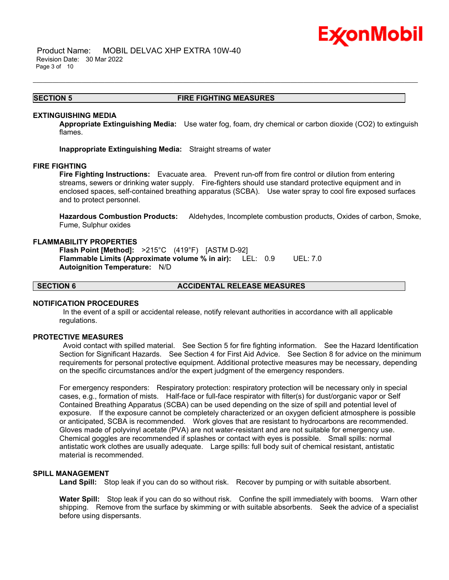## Ex⁄onMobil

 Product Name: MOBIL DELVAC XHP EXTRA 10W-40 Revision Date: 30 Mar 2022 Page 3 of 10

#### **SECTION 5 FIRE FIGHTING MEASURES**

\_\_\_\_\_\_\_\_\_\_\_\_\_\_\_\_\_\_\_\_\_\_\_\_\_\_\_\_\_\_\_\_\_\_\_\_\_\_\_\_\_\_\_\_\_\_\_\_\_\_\_\_\_\_\_\_\_\_\_\_\_\_\_\_\_\_\_\_\_\_\_\_\_\_\_\_\_\_\_\_\_\_\_\_\_\_\_\_\_\_\_\_\_\_\_\_\_\_\_\_\_\_\_\_\_\_\_\_\_\_\_\_\_\_\_\_\_\_

### **EXTINGUISHING MEDIA**

**Appropriate Extinguishing Media:** Use water fog, foam, dry chemical or carbon dioxide (CO2) to extinguish flames.

**Inappropriate Extinguishing Media:** Straight streams of water

#### **FIRE FIGHTING**

**Fire Fighting Instructions:** Evacuate area. Prevent run-off from fire control or dilution from entering streams, sewers or drinking water supply. Fire-fighters should use standard protective equipment and in enclosed spaces, self-contained breathing apparatus (SCBA). Use water spray to cool fire exposed surfaces and to protect personnel.

**Hazardous Combustion Products:** Aldehydes, Incomplete combustion products, Oxides of carbon, Smoke, Fume, Sulphur oxides

#### **FLAMMABILITY PROPERTIES**

**Flash Point [Method]:** >215°C (419°F) [ASTM D-92] **Flammable Limits (Approximate volume % in air):** LEL: 0.9 UEL: 7.0 **Autoignition Temperature:** N/D

**SECTION 6 ACCIDENTAL RELEASE MEASURES**

#### **NOTIFICATION PROCEDURES**

In the event of a spill or accidental release, notify relevant authorities in accordance with all applicable regulations.

#### **PROTECTIVE MEASURES**

Avoid contact with spilled material. See Section 5 for fire fighting information. See the Hazard Identification Section for Significant Hazards. See Section 4 for First Aid Advice. See Section 8 for advice on the minimum requirements for personal protective equipment. Additional protective measures may be necessary, depending on the specific circumstances and/or the expert judgment of the emergency responders.

For emergency responders: Respiratory protection: respiratory protection will be necessary only in special cases, e.g., formation of mists. Half-face or full-face respirator with filter(s) for dust/organic vapor or Self Contained Breathing Apparatus (SCBA) can be used depending on the size of spill and potential level of exposure. If the exposure cannot be completely characterized or an oxygen deficient atmosphere is possible or anticipated, SCBA is recommended. Work gloves that are resistant to hydrocarbons are recommended. Gloves made of polyvinyl acetate (PVA) are not water-resistant and are not suitable for emergency use. Chemical goggles are recommended if splashes or contact with eyes is possible. Small spills: normal antistatic work clothes are usually adequate. Large spills: full body suit of chemical resistant, antistatic material is recommended.

#### **SPILL MANAGEMENT**

**Land Spill:** Stop leak if you can do so without risk. Recover by pumping or with suitable absorbent.

**Water Spill:** Stop leak if you can do so without risk. Confine the spill immediately with booms. Warn other shipping. Remove from the surface by skimming or with suitable absorbents. Seek the advice of a specialist before using dispersants.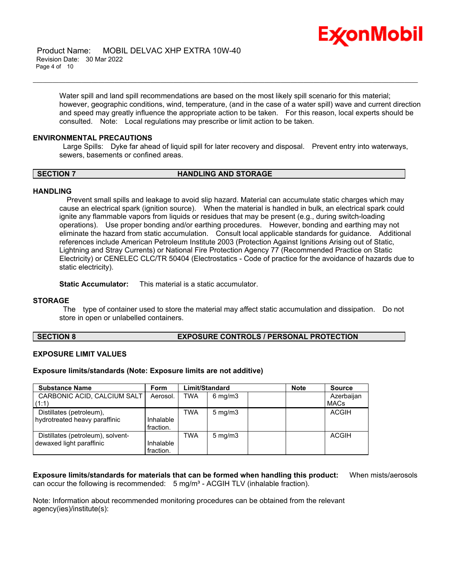

 Product Name: MOBIL DELVAC XHP EXTRA 10W-40 Revision Date: 30 Mar 2022 Page 4 of 10

> Water spill and land spill recommendations are based on the most likely spill scenario for this material; however, geographic conditions, wind, temperature, (and in the case of a water spill) wave and current direction and speed may greatly influence the appropriate action to be taken. For this reason, local experts should be consulted. Note: Local regulations may prescribe or limit action to be taken.

\_\_\_\_\_\_\_\_\_\_\_\_\_\_\_\_\_\_\_\_\_\_\_\_\_\_\_\_\_\_\_\_\_\_\_\_\_\_\_\_\_\_\_\_\_\_\_\_\_\_\_\_\_\_\_\_\_\_\_\_\_\_\_\_\_\_\_\_\_\_\_\_\_\_\_\_\_\_\_\_\_\_\_\_\_\_\_\_\_\_\_\_\_\_\_\_\_\_\_\_\_\_\_\_\_\_\_\_\_\_\_\_\_\_\_\_\_\_

#### **ENVIRONMENTAL PRECAUTIONS**

Large Spills: Dyke far ahead of liquid spill for later recovery and disposal. Prevent entry into waterways, sewers, basements or confined areas.

#### **SECTION 7 HANDLING AND STORAGE**

#### **HANDLING**

 Prevent small spills and leakage to avoid slip hazard. Material can accumulate static charges which may cause an electrical spark (ignition source). When the material is handled in bulk, an electrical spark could ignite any flammable vapors from liquids or residues that may be present (e.g., during switch-loading operations). Use proper bonding and/or earthing procedures. However, bonding and earthing may not eliminate the hazard from static accumulation. Consult local applicable standards for guidance. Additional references include American Petroleum Institute 2003 (Protection Against Ignitions Arising out of Static, Lightning and Stray Currents) or National Fire Protection Agency 77 (Recommended Practice on Static Electricity) or CENELEC CLC/TR 50404 (Electrostatics - Code of practice for the avoidance of hazards due to static electricity).

**Static Accumulator:** This material is a static accumulator.

#### **STORAGE**

The type of container used to store the material may affect static accumulation and dissipation. Do not store in open or unlabelled containers.

#### **SECTION 8 EXPOSURE CONTROLS / PERSONAL PROTECTION**

#### **EXPOSURE LIMIT VALUES**

#### **Exposure limits/standards (Note: Exposure limits are not additive)**

| <b>Substance Name</b>                                         | <b>Form</b>            | Limit/Standard |                    |  | <b>Note</b> | <b>Source</b>             |
|---------------------------------------------------------------|------------------------|----------------|--------------------|--|-------------|---------------------------|
| CARBONIC ACID, CALCIUM SALT<br>(1:1)                          | Aerosol.               | TWA            | $6 \text{ mg/m}$ 3 |  |             | Azerbaijan<br><b>MACs</b> |
| Distillates (petroleum),<br>hydrotreated heavy paraffinic     | Inhalable<br>fraction. | TWA            | $5 \text{ mg/m}$   |  |             | <b>ACGIH</b>              |
| Distillates (petroleum), solvent-<br>dewaxed light paraffinic | Inhalable<br>fraction. | TWA            | $5 \text{ mg/m}$   |  |             | <b>ACGIH</b>              |

**Exposure limits/standards for materials that can be formed when handling this product:** When mists/aerosols can occur the following is recommended:  $5 \text{ mg/m}^3$  - ACGIH TLV (inhalable fraction).

Note: Information about recommended monitoring procedures can be obtained from the relevant agency(ies)/institute(s):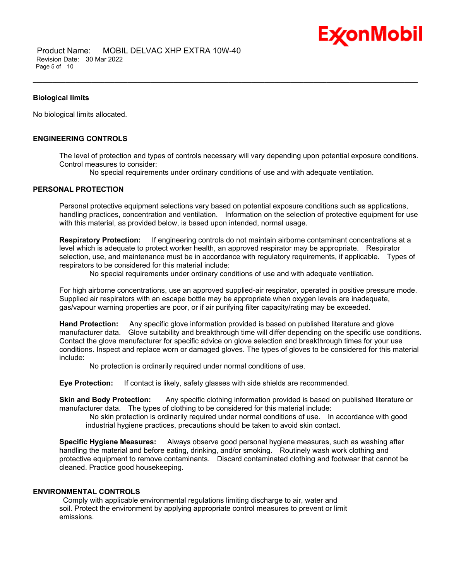

 Product Name: MOBIL DELVAC XHP EXTRA 10W-40 Revision Date: 30 Mar 2022 Page 5 of 10

#### **Biological limits**

No biological limits allocated.

#### **ENGINEERING CONTROLS**

The level of protection and types of controls necessary will vary depending upon potential exposure conditions. Control measures to consider:

No special requirements under ordinary conditions of use and with adequate ventilation.

\_\_\_\_\_\_\_\_\_\_\_\_\_\_\_\_\_\_\_\_\_\_\_\_\_\_\_\_\_\_\_\_\_\_\_\_\_\_\_\_\_\_\_\_\_\_\_\_\_\_\_\_\_\_\_\_\_\_\_\_\_\_\_\_\_\_\_\_\_\_\_\_\_\_\_\_\_\_\_\_\_\_\_\_\_\_\_\_\_\_\_\_\_\_\_\_\_\_\_\_\_\_\_\_\_\_\_\_\_\_\_\_\_\_\_\_\_\_

### **PERSONAL PROTECTION**

Personal protective equipment selections vary based on potential exposure conditions such as applications, handling practices, concentration and ventilation. Information on the selection of protective equipment for use with this material, as provided below, is based upon intended, normal usage.

**Respiratory Protection:** If engineering controls do not maintain airborne contaminant concentrations at a level which is adequate to protect worker health, an approved respirator may be appropriate. Respirator selection, use, and maintenance must be in accordance with regulatory requirements, if applicable. Types of respirators to be considered for this material include:

No special requirements under ordinary conditions of use and with adequate ventilation.

For high airborne concentrations, use an approved supplied-air respirator, operated in positive pressure mode. Supplied air respirators with an escape bottle may be appropriate when oxygen levels are inadequate, gas/vapour warning properties are poor, or if air purifying filter capacity/rating may be exceeded.

**Hand Protection:** Any specific glove information provided is based on published literature and glove manufacturer data. Glove suitability and breakthrough time will differ depending on the specific use conditions. Contact the glove manufacturer for specific advice on glove selection and breakthrough times for your use conditions. Inspect and replace worn or damaged gloves. The types of gloves to be considered for this material include:

No protection is ordinarily required under normal conditions of use.

**Eye Protection:** If contact is likely, safety glasses with side shields are recommended.

**Skin and Body Protection:** Any specific clothing information provided is based on published literature or manufacturer data. The types of clothing to be considered for this material include:

No skin protection is ordinarily required under normal conditions of use. In accordance with good industrial hygiene practices, precautions should be taken to avoid skin contact.

**Specific Hygiene Measures:** Always observe good personal hygiene measures, such as washing after handling the material and before eating, drinking, and/or smoking. Routinely wash work clothing and protective equipment to remove contaminants. Discard contaminated clothing and footwear that cannot be cleaned. Practice good housekeeping.

#### **ENVIRONMENTAL CONTROLS**

Comply with applicable environmental regulations limiting discharge to air, water and soil. Protect the environment by applying appropriate control measures to prevent or limit emissions.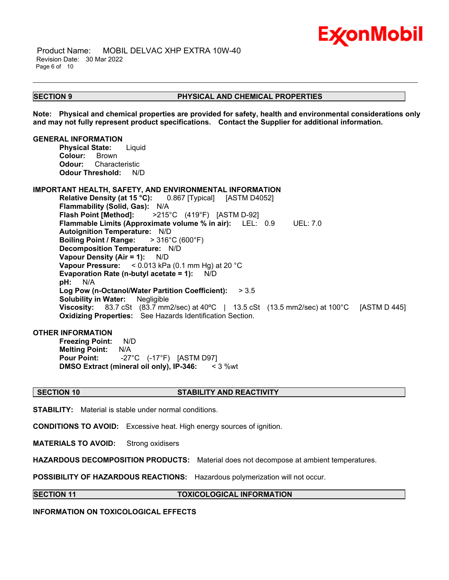

 Product Name: MOBIL DELVAC XHP EXTRA 10W-40 Revision Date: 30 Mar 2022 Page 6 of 10

#### **SECTION 9 PHYSICAL AND CHEMICAL PROPERTIES**

**Note: Physical and chemical properties are provided for safety, health and environmental considerations only and may not fully represent product specifications. Contact the Supplier for additional information.**

\_\_\_\_\_\_\_\_\_\_\_\_\_\_\_\_\_\_\_\_\_\_\_\_\_\_\_\_\_\_\_\_\_\_\_\_\_\_\_\_\_\_\_\_\_\_\_\_\_\_\_\_\_\_\_\_\_\_\_\_\_\_\_\_\_\_\_\_\_\_\_\_\_\_\_\_\_\_\_\_\_\_\_\_\_\_\_\_\_\_\_\_\_\_\_\_\_\_\_\_\_\_\_\_\_\_\_\_\_\_\_\_\_\_\_\_\_\_

#### **GENERAL INFORMATION**

**Physical State:** Liquid **Colour:** Brown **Odour:** Characteristic **Odour Threshold:** N/D

### **IMPORTANT HEALTH, SAFETY, AND ENVIRONMENTAL INFORMATION**

**Relative Density (at 15 °C):** 0.867 [Typical] [ASTM D4052] **Flammability (Solid, Gas):** N/A **Flash Point [Method]:** >215°C (419°F) [ASTM D-92] **Flammable Limits (Approximate volume % in air):** LEL: 0.9 UEL: 7.0 **Autoignition Temperature:** N/D **Boiling Point / Range:** > 316°C (600°F) **Decomposition Temperature:** N/D **Vapour Density (Air = 1):** N/D **Vapour Pressure:** < 0.013 kPa (0.1 mm Hg) at 20 °C **Evaporation Rate (n-butyl acetate = 1):** N/D **pH:** N/A **Log Pow (n-Octanol/Water Partition Coefficient):** > 3.5 **Solubility in Water:** Negligible **Viscosity:** 83.7 cSt (83.7 mm2/sec) at 40ºC | 13.5 cSt (13.5 mm2/sec) at 100°C [ASTM D 445] **Oxidizing Properties:** See Hazards Identification Section.

#### **OTHER INFORMATION**

**Freezing Point:** N/D **Melting Point:** N/A **Pour Point:** -27°C (-17°F) [ASTM D97] **DMSO Extract (mineral oil only), IP-346:** < 3 %wt

#### **SECTION 10 STABILITY AND REACTIVITY**

**STABILITY:** Material is stable under normal conditions.

**CONDITIONS TO AVOID:** Excessive heat. High energy sources of ignition.

**MATERIALS TO AVOID:** Strong oxidisers

**HAZARDOUS DECOMPOSITION PRODUCTS:** Material does not decompose at ambient temperatures.

**POSSIBILITY OF HAZARDOUS REACTIONS:** Hazardous polymerization will not occur.

**SECTION 11 TOXICOLOGICAL INFORMATION**

**INFORMATION ON TOXICOLOGICAL EFFECTS**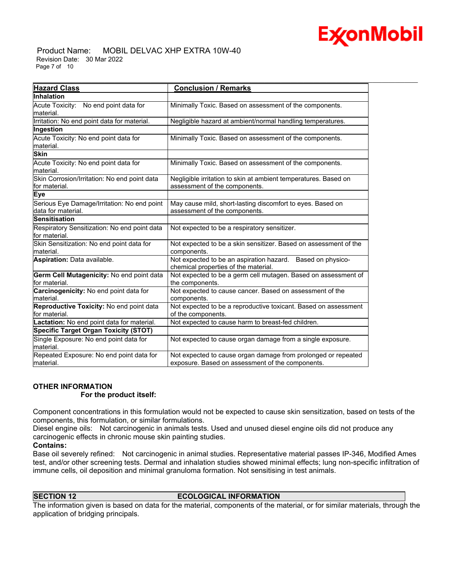

#### Product Name: MOBIL DELVAC XHP EXTRA 10W-40 Revision Date: 30 Mar 2022 Page 7 of 10

| <b>Hazard Class</b>                                               | <b>Conclusion / Remarks</b>                                                                                       |
|-------------------------------------------------------------------|-------------------------------------------------------------------------------------------------------------------|
| Inhalation                                                        |                                                                                                                   |
| Acute Toxicity: No end point data for<br>material.                | Minimally Toxic. Based on assessment of the components.                                                           |
| Irritation: No end point data for material.                       | Negligible hazard at ambient/normal handling temperatures.                                                        |
| Ingestion                                                         |                                                                                                                   |
| Acute Toxicity: No end point data for<br>material.                | Minimally Toxic. Based on assessment of the components.                                                           |
| <b>Skin</b>                                                       |                                                                                                                   |
| Acute Toxicity: No end point data for<br>material.                | Minimally Toxic. Based on assessment of the components.                                                           |
| Skin Corrosion/Irritation: No end point data<br>for material.     | Negligible irritation to skin at ambient temperatures. Based on<br>assessment of the components.                  |
| Eye                                                               |                                                                                                                   |
| Serious Eye Damage/Irritation: No end point<br>data for material. | May cause mild, short-lasting discomfort to eyes. Based on<br>assessment of the components.                       |
| Sensitisation                                                     |                                                                                                                   |
| Respiratory Sensitization: No end point data<br>for material.     | Not expected to be a respiratory sensitizer.                                                                      |
| Skin Sensitization: No end point data for<br>material.            | Not expected to be a skin sensitizer. Based on assessment of the<br>components.                                   |
| Aspiration: Data available.                                       | Not expected to be an aspiration hazard. Based on physico-<br>chemical properties of the material.                |
| Germ Cell Mutagenicity: No end point data<br>for material.        | Not expected to be a germ cell mutagen. Based on assessment of<br>the components.                                 |
| Carcinogenicity: No end point data for<br>material.               | Not expected to cause cancer. Based on assessment of the<br>components.                                           |
| Reproductive Toxicity: No end point data<br>for material.         | Not expected to be a reproductive toxicant. Based on assessment<br>of the components.                             |
| Lactation: No end point data for material.                        | Not expected to cause harm to breast-fed children.                                                                |
| <b>Specific Target Organ Toxicity (STOT)</b>                      |                                                                                                                   |
| Single Exposure: No end point data for<br>material.               | Not expected to cause organ damage from a single exposure.                                                        |
| Repeated Exposure: No end point data for<br>lmaterial.            | Not expected to cause organ damage from prolonged or repeated<br>exposure. Based on assessment of the components. |

#### **OTHER INFORMATION For the product itself:**

Component concentrations in this formulation would not be expected to cause skin sensitization, based on tests of the components, this formulation, or similar formulations.

Diesel engine oils: Not carcinogenic in animals tests. Used and unused diesel engine oils did not produce any carcinogenic effects in chronic mouse skin painting studies.

#### **Contains:**

Base oil severely refined: Not carcinogenic in animal studies. Representative material passes IP-346, Modified Ames test, and/or other screening tests. Dermal and inhalation studies showed minimal effects; lung non-specific infiltration of immune cells, oil deposition and minimal granuloma formation. Not sensitising in test animals.

#### **SECTION 12 ECOLOGICAL INFORMATION**

The information given is based on data for the material, components of the material, or for similar materials, through the application of bridging principals.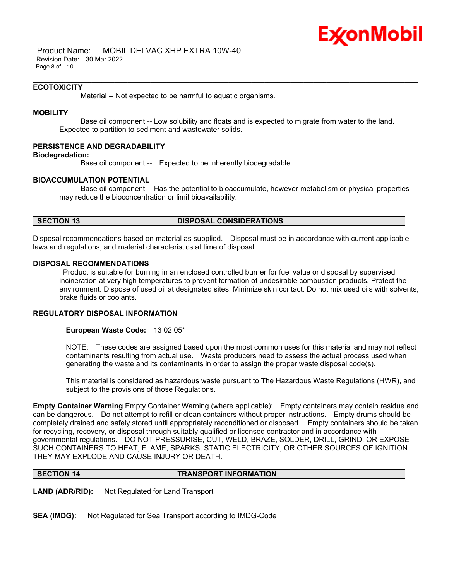# Ex⁄onMobil

 Product Name: MOBIL DELVAC XHP EXTRA 10W-40 Revision Date: 30 Mar 2022 Page 8 of 10

#### **ECOTOXICITY**

Material -- Not expected to be harmful to aquatic organisms.

### **MOBILITY**

 Base oil component -- Low solubility and floats and is expected to migrate from water to the land. Expected to partition to sediment and wastewater solids.

\_\_\_\_\_\_\_\_\_\_\_\_\_\_\_\_\_\_\_\_\_\_\_\_\_\_\_\_\_\_\_\_\_\_\_\_\_\_\_\_\_\_\_\_\_\_\_\_\_\_\_\_\_\_\_\_\_\_\_\_\_\_\_\_\_\_\_\_\_\_\_\_\_\_\_\_\_\_\_\_\_\_\_\_\_\_\_\_\_\_\_\_\_\_\_\_\_\_\_\_\_\_\_\_\_\_\_\_\_\_\_\_\_\_\_\_\_\_

#### **PERSISTENCE AND DEGRADABILITY**

#### **Biodegradation:**

Base oil component -- Expected to be inherently biodegradable

#### **BIOACCUMULATION POTENTIAL**

 Base oil component -- Has the potential to bioaccumulate, however metabolism or physical properties may reduce the bioconcentration or limit bioavailability.

#### **SECTION 13 DISPOSAL CONSIDERATIONS**

Disposal recommendations based on material as supplied. Disposal must be in accordance with current applicable laws and regulations, and material characteristics at time of disposal.

#### **DISPOSAL RECOMMENDATIONS**

Product is suitable for burning in an enclosed controlled burner for fuel value or disposal by supervised incineration at very high temperatures to prevent formation of undesirable combustion products. Protect the environment. Dispose of used oil at designated sites. Minimize skin contact. Do not mix used oils with solvents, brake fluids or coolants.

#### **REGULATORY DISPOSAL INFORMATION**

#### **European Waste Code:** 13 02 05\*

NOTE: These codes are assigned based upon the most common uses for this material and may not reflect contaminants resulting from actual use. Waste producers need to assess the actual process used when generating the waste and its contaminants in order to assign the proper waste disposal code(s).

This material is considered as hazardous waste pursuant to The Hazardous Waste Regulations (HWR), and subject to the provisions of those Regulations.

**Empty Container Warning** Empty Container Warning (where applicable): Empty containers may contain residue and can be dangerous. Do not attempt to refill or clean containers without proper instructions. Empty drums should be completely drained and safely stored until appropriately reconditioned or disposed. Empty containers should be taken for recycling, recovery, or disposal through suitably qualified or licensed contractor and in accordance with governmental regulations. DO NOT PRESSURISE, CUT, WELD, BRAZE, SOLDER, DRILL, GRIND, OR EXPOSE SUCH CONTAINERS TO HEAT, FLAME, SPARKS, STATIC ELECTRICITY, OR OTHER SOURCES OF IGNITION. THEY MAY EXPLODE AND CAUSE INJURY OR DEATH.

#### **SECTION 14 TRANSPORT INFORMATION**

**LAND (ADR/RID):** Not Regulated for Land Transport

**SEA (IMDG):** Not Regulated for Sea Transport according to IMDG-Code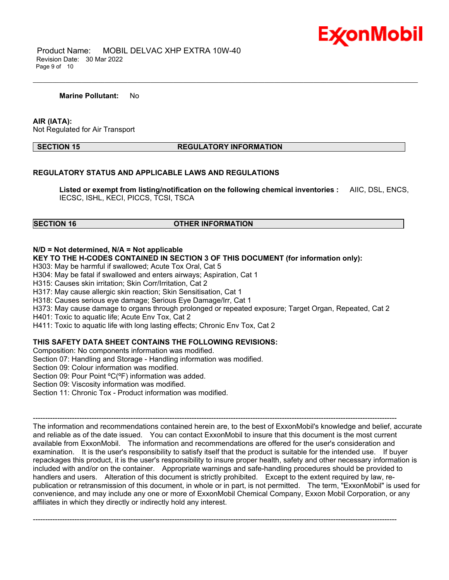

 Product Name: MOBIL DELVAC XHP EXTRA 10W-40 Revision Date: 30 Mar 2022 Page 9 of 10

**Marine Pollutant:** No

**AIR (IATA):**  Not Regulated for Air Transport

### **SECTION 15 REGULATORY INFORMATION**

\_\_\_\_\_\_\_\_\_\_\_\_\_\_\_\_\_\_\_\_\_\_\_\_\_\_\_\_\_\_\_\_\_\_\_\_\_\_\_\_\_\_\_\_\_\_\_\_\_\_\_\_\_\_\_\_\_\_\_\_\_\_\_\_\_\_\_\_\_\_\_\_\_\_\_\_\_\_\_\_\_\_\_\_\_\_\_\_\_\_\_\_\_\_\_\_\_\_\_\_\_\_\_\_\_\_\_\_\_\_\_\_\_\_\_\_\_\_

#### **REGULATORY STATUS AND APPLICABLE LAWS AND REGULATIONS**

**Listed or exempt from listing/notification on the following chemical inventories :** AIIC, DSL, ENCS, IECSC, ISHL, KECI, PICCS, TCSI, TSCA

#### **SECTION 16 OTHER INFORMATION**

#### **N/D = Not determined, N/A = Not applicable**

**KEY TO THE H-CODES CONTAINED IN SECTION 3 OF THIS DOCUMENT (for information only):**

H303: May be harmful if swallowed; Acute Tox Oral, Cat 5

H304: May be fatal if swallowed and enters airways; Aspiration, Cat 1

H315: Causes skin irritation; Skin Corr/Irritation, Cat 2

H317: May cause allergic skin reaction; Skin Sensitisation, Cat 1

H318: Causes serious eye damage; Serious Eye Damage/Irr, Cat 1

H373: May cause damage to organs through prolonged or repeated exposure; Target Organ, Repeated, Cat 2

H401: Toxic to aquatic life; Acute Env Tox, Cat 2

H411: Toxic to aquatic life with long lasting effects; Chronic Env Tox, Cat 2

### **THIS SAFETY DATA SHEET CONTAINS THE FOLLOWING REVISIONS:**

Composition: No components information was modified.

Section 07: Handling and Storage - Handling information was modified.

Section 09: Colour information was modified.

Section 09: Pour Point ºC(ºF) information was added.

Section 09: Viscosity information was modified.

Section 11: Chronic Tox - Product information was modified.

----------------------------------------------------------------------------------------------------------------------------------------------------- The information and recommendations contained herein are, to the best of ExxonMobil's knowledge and belief, accurate and reliable as of the date issued. You can contact ExxonMobil to insure that this document is the most current available from ExxonMobil. The information and recommendations are offered for the user's consideration and examination. It is the user's responsibility to satisfy itself that the product is suitable for the intended use. If buyer repackages this product, it is the user's responsibility to insure proper health, safety and other necessary information is included with and/or on the container. Appropriate warnings and safe-handling procedures should be provided to handlers and users. Alteration of this document is strictly prohibited. Except to the extent required by law, republication or retransmission of this document, in whole or in part, is not permitted. The term, "ExxonMobil" is used for convenience, and may include any one or more of ExxonMobil Chemical Company, Exxon Mobil Corporation, or any affiliates in which they directly or indirectly hold any interest.

-----------------------------------------------------------------------------------------------------------------------------------------------------